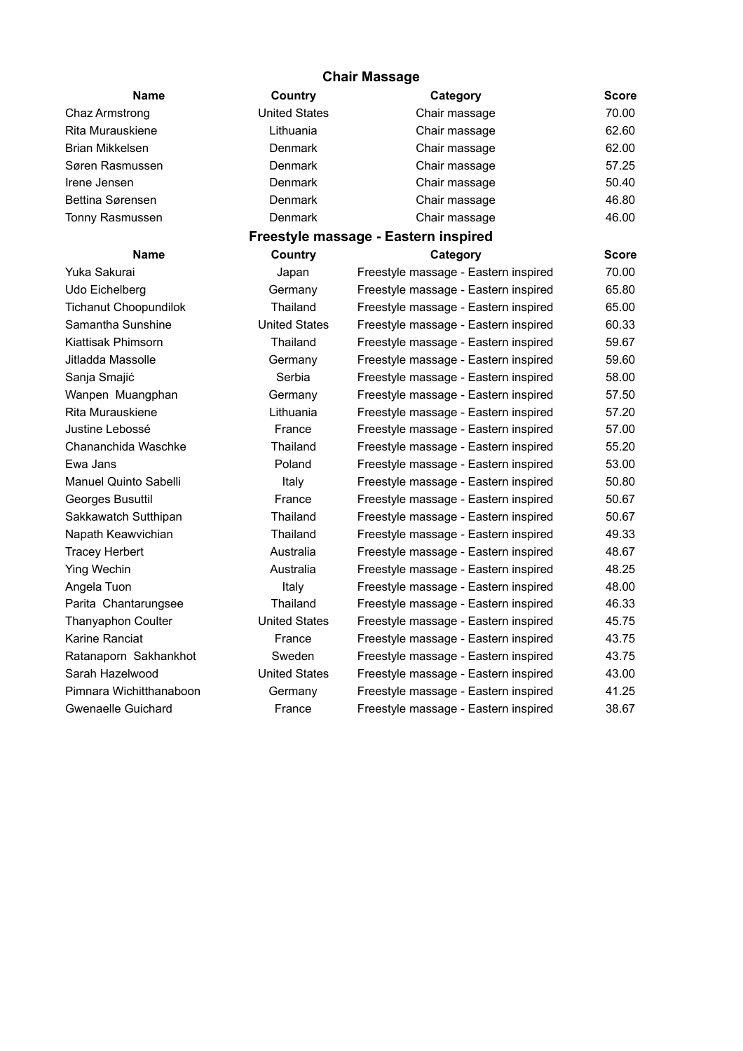| <b>Chair Massage</b>         |                      |                                      |              |  |  |  |  |
|------------------------------|----------------------|--------------------------------------|--------------|--|--|--|--|
| <b>Name</b>                  | Country              | Category                             | <b>Score</b> |  |  |  |  |
| Chaz Armstrong               | <b>United States</b> | Chair massage                        | 70.00        |  |  |  |  |
| Rita Murauskiene             | Lithuania            | Chair massage                        | 62.60        |  |  |  |  |
| Brian Mikkelsen              | Denmark              | Chair massage                        | 62.00        |  |  |  |  |
| Søren Rasmussen              | Denmark              | Chair massage                        | 57.25        |  |  |  |  |
| Irene Jensen                 | Denmark              | Chair massage                        | 50.40        |  |  |  |  |
| Bettina Sørensen             | Denmark              | Chair massage                        | 46.80        |  |  |  |  |
| Tonny Rasmussen              | Denmark              | Chair massage                        | 46.00        |  |  |  |  |
|                              |                      | Freestyle massage - Eastern inspired |              |  |  |  |  |
| <b>Name</b>                  | Country              | Category                             | <b>Score</b> |  |  |  |  |
| Yuka Sakurai                 | Japan                | Freestyle massage - Eastern inspired | 70.00        |  |  |  |  |
| Udo Eichelberg               | Germany              | Freestyle massage - Eastern inspired | 65.80        |  |  |  |  |
| <b>Tichanut Choopundilok</b> | Thailand             | Freestyle massage - Eastern inspired | 65.00        |  |  |  |  |
| Samantha Sunshine            | <b>United States</b> | Freestyle massage - Eastern inspired | 60.33        |  |  |  |  |
| Kiattisak Phimsorn           | Thailand             | Freestyle massage - Eastern inspired | 59.67        |  |  |  |  |
| Jitladda Massolle            | Germany              | Freestyle massage - Eastern inspired | 59.60        |  |  |  |  |
| Sanja Smajić                 | Serbia               | Freestyle massage - Eastern inspired | 58.00        |  |  |  |  |
| Wanpen Muangphan             | Germany              | Freestyle massage - Eastern inspired | 57.50        |  |  |  |  |
| Rita Murauskiene             | Lithuania            | Freestyle massage - Eastern inspired | 57.20        |  |  |  |  |
| Justine Lebossé              | France               | Freestyle massage - Eastern inspired | 57.00        |  |  |  |  |
| Chananchida Waschke          | Thailand             | Freestyle massage - Eastern inspired | 55.20        |  |  |  |  |
| Ewa Jans                     | Poland               | Freestyle massage - Eastern inspired | 53.00        |  |  |  |  |
| <b>Manuel Quinto Sabelli</b> | Italy                | Freestyle massage - Eastern inspired | 50.80        |  |  |  |  |
| Georges Busuttil             | France               | Freestyle massage - Eastern inspired | 50.67        |  |  |  |  |
| Sakkawatch Sutthipan         | Thailand             | Freestyle massage - Eastern inspired | 50.67        |  |  |  |  |
| Napath Keawvichian           | Thailand             | Freestyle massage - Eastern inspired | 49.33        |  |  |  |  |
| <b>Tracey Herbert</b>        | Australia            | Freestyle massage - Eastern inspired | 48.67        |  |  |  |  |
| <b>Ying Wechin</b>           | Australia            | Freestyle massage - Eastern inspired | 48.25        |  |  |  |  |
| Angela Tuon                  | Italy                | Freestyle massage - Eastern inspired | 48.00        |  |  |  |  |
| Parita Chantarungsee         | Thailand             | Freestyle massage - Eastern inspired | 46.33        |  |  |  |  |
| Thanyaphon Coulter           | <b>United States</b> | Freestyle massage - Eastern inspired | 45.75        |  |  |  |  |
| Karine Ranciat               | France               | Freestyle massage - Eastern inspired | 43.75        |  |  |  |  |
| Ratanaporn Sakhankhot        | Sweden               | Freestyle massage - Eastern inspired | 43.75        |  |  |  |  |
| Sarah Hazelwood              | <b>United States</b> | Freestyle massage - Eastern inspired | 43.00        |  |  |  |  |
| Pimnara Wichitthanaboon      | Germany              | Freestyle massage - Eastern inspired | 41.25        |  |  |  |  |
| Gwenaelle Guichard           | France               | Freestyle massage - Eastern inspired | 38.67        |  |  |  |  |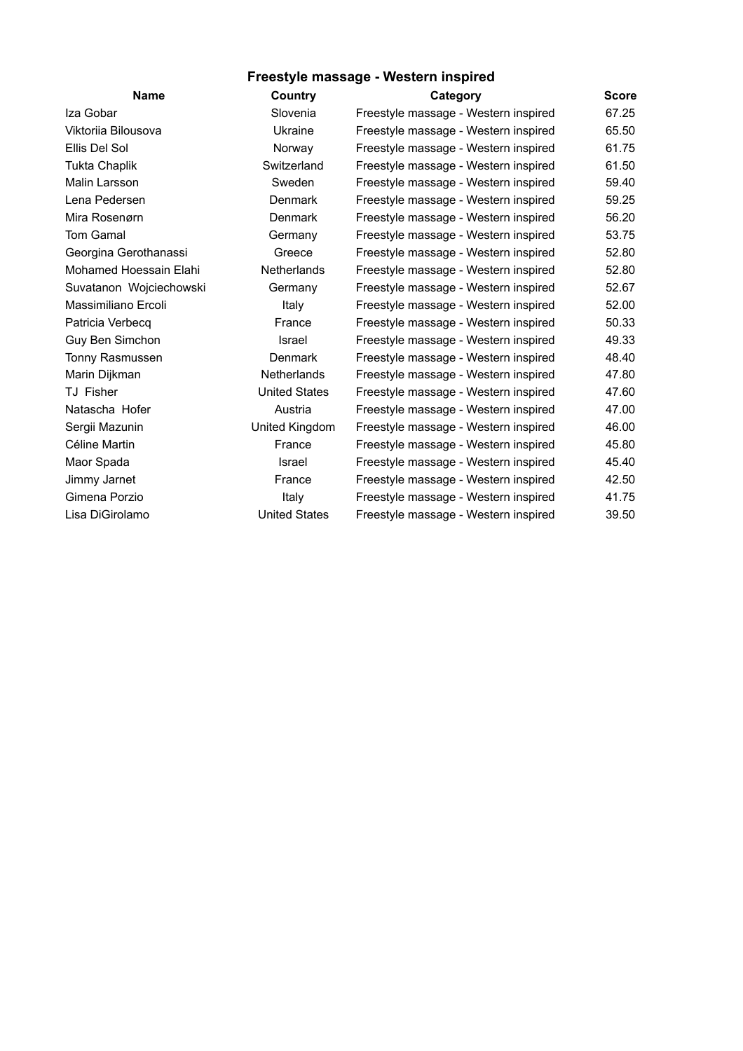## **Freestyle massage - Western inspired**

| <b>Name</b>             | Country              | Category                             | <b>Score</b> |
|-------------------------|----------------------|--------------------------------------|--------------|
| Iza Gobar               | Slovenia             | Freestyle massage - Western inspired | 67.25        |
| Viktorija Bilousova     | Ukraine              | Freestyle massage - Western inspired | 65.50        |
| Ellis Del Sol           | Norway               | Freestyle massage - Western inspired | 61.75        |
| <b>Tukta Chaplik</b>    | Switzerland          | Freestyle massage - Western inspired | 61.50        |
| Malin Larsson           | Sweden               | Freestyle massage - Western inspired | 59.40        |
| Lena Pedersen           | <b>Denmark</b>       | Freestyle massage - Western inspired | 59.25        |
| Mira Rosenørn           | Denmark              | Freestyle massage - Western inspired | 56.20        |
| Tom Gamal               | Germany              | Freestyle massage - Western inspired | 53.75        |
| Georgina Gerothanassi   | Greece               | Freestyle massage - Western inspired | 52.80        |
| Mohamed Hoessain Elahi  | <b>Netherlands</b>   | Freestyle massage - Western inspired | 52.80        |
| Suvatanon Wojciechowski | Germany              | Freestyle massage - Western inspired | 52.67        |
| Massimiliano Ercoli     | Italy                | Freestyle massage - Western inspired | 52.00        |
| Patricia Verbecq        | France               | Freestyle massage - Western inspired | 50.33        |
| Guy Ben Simchon         | Israel               | Freestyle massage - Western inspired | 49.33        |
| Tonny Rasmussen         | Denmark              | Freestyle massage - Western inspired | 48.40        |
| Marin Dijkman           | Netherlands          | Freestyle massage - Western inspired | 47.80        |
| TJ Fisher               | <b>United States</b> | Freestyle massage - Western inspired | 47.60        |
| Natascha Hofer          | Austria              | Freestyle massage - Western inspired | 47.00        |
| Sergii Mazunin          | United Kingdom       | Freestyle massage - Western inspired | 46.00        |
| Céline Martin           | France               | Freestyle massage - Western inspired | 45.80        |
| Maor Spada              | Israel               | Freestyle massage - Western inspired | 45.40        |
| Jimmy Jarnet            | France               | Freestyle massage - Western inspired | 42.50        |
| Gimena Porzio           | Italy                | Freestyle massage - Western inspired | 41.75        |
| Lisa DiGirolamo         | <b>United States</b> | Freestyle massage - Western inspired | 39.50        |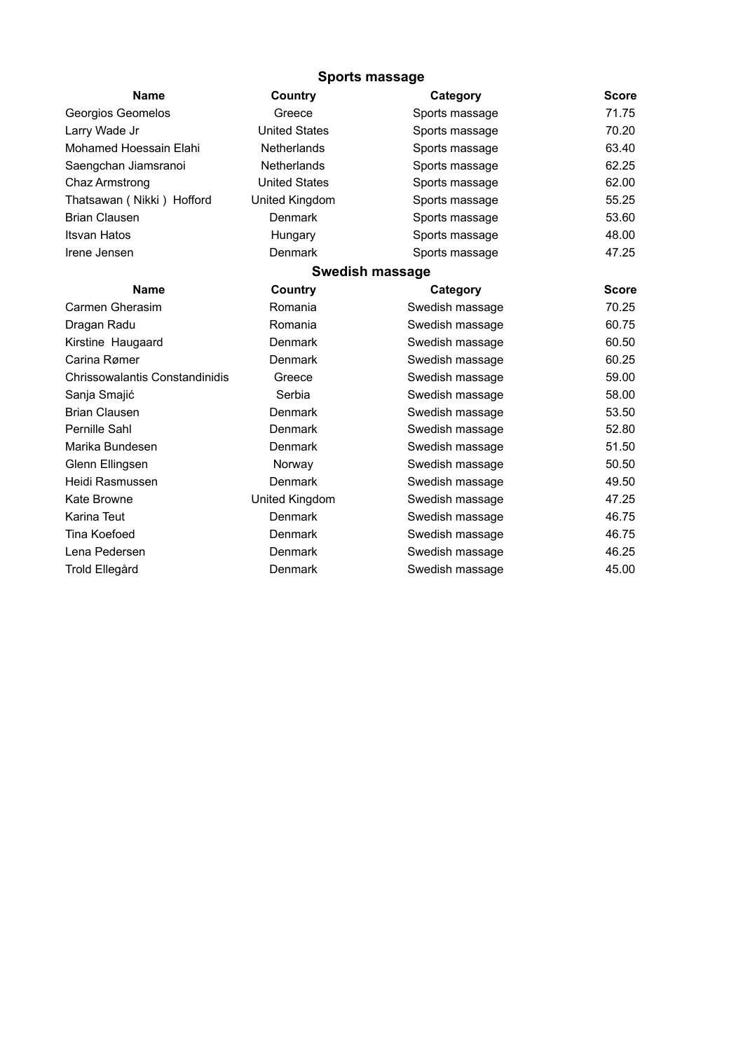## **Sports massage**

| <b>Name</b>                    | Country              | Category        | <b>Score</b> |  |  |  |
|--------------------------------|----------------------|-----------------|--------------|--|--|--|
| Georgios Geomelos              | Greece               | Sports massage  | 71.75        |  |  |  |
| Larry Wade Jr                  | <b>United States</b> | Sports massage  | 70.20        |  |  |  |
| Mohamed Hoessain Elahi         | Netherlands          | Sports massage  | 63.40        |  |  |  |
| Saengchan Jiamsranoi           | <b>Netherlands</b>   | Sports massage  | 62.25        |  |  |  |
| Chaz Armstrong                 | <b>United States</b> | Sports massage  | 62.00        |  |  |  |
| Thatsawan (Nikki) Hofford      | United Kingdom       | Sports massage  | 55.25        |  |  |  |
| <b>Brian Clausen</b>           | Denmark              | Sports massage  | 53.60        |  |  |  |
| <b>Itsvan Hatos</b>            | Hungary              | Sports massage  | 48.00        |  |  |  |
| Irene Jensen                   | Denmark              | Sports massage  | 47.25        |  |  |  |
| Swedish massage                |                      |                 |              |  |  |  |
| <b>Name</b>                    | Country              | Category        | <b>Score</b> |  |  |  |
| Carmen Gherasim                | Romania              | Swedish massage | 70.25        |  |  |  |
| Dragan Radu                    | Romania              | Swedish massage | 60.75        |  |  |  |
| Kirstine Haugaard              | Denmark              | Swedish massage | 60.50        |  |  |  |
| Carina Rømer                   | Denmark              | Swedish massage | 60.25        |  |  |  |
| Chrissowalantis Constandinidis | Greece               | Swedish massage | 59.00        |  |  |  |
| Sanja Smajić                   | Serbia               | Swedish massage | 58.00        |  |  |  |
| <b>Brian Clausen</b>           | <b>Denmark</b>       | Swedish massage | 53.50        |  |  |  |
| Pernille Sahl                  | Denmark              | Swedish massage | 52.80        |  |  |  |
| Marika Bundesen                | Denmark              | Swedish massage | 51.50        |  |  |  |
| Glenn Ellingsen                | Norway               | Swedish massage | 50.50        |  |  |  |
| Heidi Rasmussen                | Denmark              | Swedish massage | 49.50        |  |  |  |
| Kate Browne                    | United Kingdom       | Swedish massage | 47.25        |  |  |  |
| Karina Teut                    | Denmark              | Swedish massage | 46.75        |  |  |  |
| Tina Koefoed                   | Denmark              | Swedish massage | 46.75        |  |  |  |
| Lena Pedersen                  | Denmark              | Swedish massage | 46.25        |  |  |  |
| Trold Ellegård                 | Denmark              | Swedish massage | 45.00        |  |  |  |